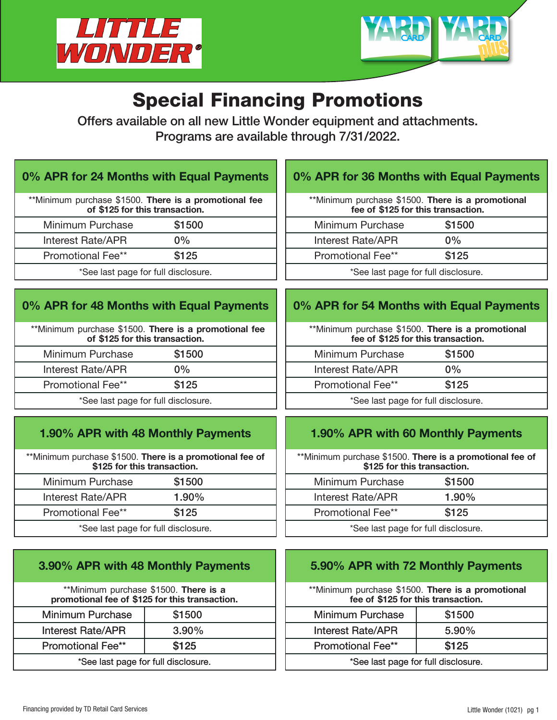



# Special Financing Promotions

Offers available on all new Little Wonder equipment and attachments. Programs are available through 7/31/2022.

## 0% APR for 24 Months with Equal Payments

|                                     | **Minimum purchase \$1500. There is a promotional fee<br>of \$125 for this transaction. |  |
|-------------------------------------|-----------------------------------------------------------------------------------------|--|
| Minimum Purchase                    | \$1500                                                                                  |  |
| <b>Interest Rate/APR</b>            | $0\%$                                                                                   |  |
| Promotional Fee**                   | \$125                                                                                   |  |
| *See last page for full disclosure. |                                                                                         |  |

# 0% APR for 48 Months with Equal Payments

| **Minimum purchase \$1500. There is a promotional fee<br>of \$125 for this transaction. |        |  |  |
|-----------------------------------------------------------------------------------------|--------|--|--|
| Minimum Purchase                                                                        | \$1500 |  |  |
| Interest Rate/APR                                                                       | $0\%$  |  |  |
| <b>Promotional Fee**</b>                                                                | \$125  |  |  |
| *See last page for full disclosure.                                                     |        |  |  |

# 1.90% APR with 48 Monthly Payments

\*\*Minimum purchase \$1500. There is a promotional fee of \$125 for this transaction.

| Minimum Purchase                    | \$1500   |  |  |
|-------------------------------------|----------|--|--|
| Interest Rate/APR                   | $1.90\%$ |  |  |
| \$125<br>Promotional Fee**          |          |  |  |
| *See last page for full disclosure. |          |  |  |

|  |  | 3.90% APR with 48 Monthly Payments |  |
|--|--|------------------------------------|--|
|--|--|------------------------------------|--|

| **Minimum purchase \$1500. There is a<br>promotional fee of \$125 for this transaction. |  |  |  |
|-----------------------------------------------------------------------------------------|--|--|--|
| \$1500<br>Minimum Purchase                                                              |  |  |  |
| <b>Interest Rate/APR</b><br>$3.90\%$                                                    |  |  |  |
| \$125<br><b>Promotional Fee**</b>                                                       |  |  |  |
| *See last page for full disclosure.                                                     |  |  |  |

# 0% APR for 36 Months with Equal Payments

| **Minimum purchase \$1500. There is a promotional<br>fee of \$125 for this transaction. |       |  |  |
|-----------------------------------------------------------------------------------------|-------|--|--|
| \$1500<br>Minimum Purchase                                                              |       |  |  |
| <b>Interest Rate/APR</b>                                                                | $0\%$ |  |  |
| \$125<br><b>Promotional Fee**</b>                                                       |       |  |  |
| *See last page for full disclosure.                                                     |       |  |  |

#### 0% APR for 54 Months with Equal Payments

| **Minimum purchase \$1500. There is a promotional<br>fee of \$125 for this transaction. |  |  |  |
|-----------------------------------------------------------------------------------------|--|--|--|
| \$1500<br>Minimum Purchase                                                              |  |  |  |
| Interest Rate/APR<br>$0\%$                                                              |  |  |  |
| \$125<br>Promotional Fee**                                                              |  |  |  |
| *See last page for full disclosure.                                                     |  |  |  |

## 1.90% APR with 60 Monthly Payments

\*\*Minimum purchase \$1500. There is a promotional fee of \$125 for this transaction.

| Minimum Purchase                    | \$1500   |  |  |
|-------------------------------------|----------|--|--|
| Interest Rate/APR                   | $1.90\%$ |  |  |
| \$125<br>Promotional Fee**          |          |  |  |
| *See last page for full disclosure. |          |  |  |

## 5.90% APR with 72 Monthly Payments

| **Minimum purchase \$1500. There is a promotional |  |                                    |  |  |
|---------------------------------------------------|--|------------------------------------|--|--|
|                                                   |  | fee of \$125 for this transaction. |  |  |

| <b>Minimum Purchase</b>             | \$1500   |  |  |
|-------------------------------------|----------|--|--|
| <b>Interest Rate/APR</b>            | $5.90\%$ |  |  |
| \$125<br><b>Promotional Fee**</b>   |          |  |  |
| *See last page for full disclosure. |          |  |  |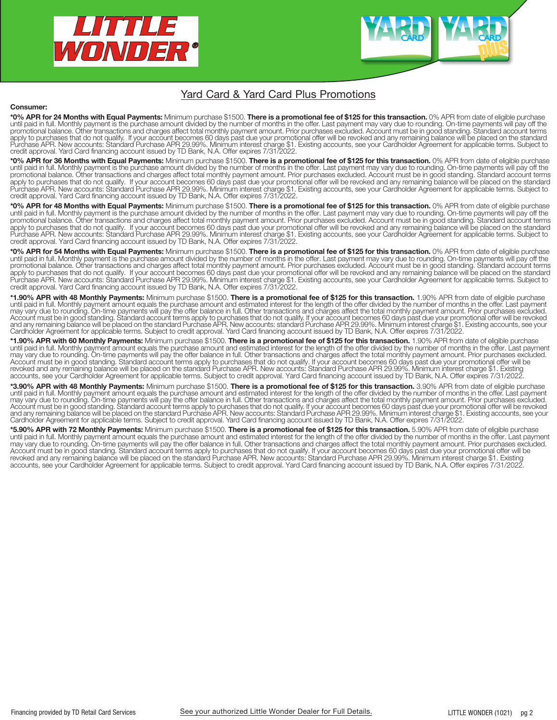

#### Yard Card & Yard Card Plus Promotions

#### Consumer:

\*0% APR for 24 Months with Equal Payments: Minimum purchase \$1500. There is a promotional fee of \$125 for this transaction. 0% APR from date of eligible purchase until paid in full. Monthly payment is the purchase amount divided by the number of months in the offer. Last payment may vary due to rounding. On-time payments will pay off the promotional balance. Other transactions and charges affect total monthly payment amount. Prior purchases excluded. Account must be in good standing. Standard account terms apply to purchases that do not qualify. If your account becomes 60 days past due your promotional offer will be revoked and any remaining balance will be placed on the standard<br>Purchase APR. New accounts: Standard Purchase

\*0% APR for 36 Months with Equal Payments: Minimum purchase \$1500. There is a promotional fee of \$125 for this transaction. 0% APR from date of eligible purchase until paid in full. Monthly payment is the purchase amount divided by the number of months in the offer. Last payment may vary due to rounding. On-time payments will pay off the promotional balance. Other transactions and charges affect total monthly payment amount. Prior purchases excluded. Account must be in good standing. Standard account terms apply to purchases that do not qualify. If your account becomes 60 days past due your promotional offer will be revoked and any remaining balance will be placed on the standard<br>Purchase APR. New accounts: Standard Purchase credit approval. Yard Card financing account issued by TD Bank, N.A. Offer expires 7/31/2022.

\*0% APR for 48 Months with Equal Payments: Minimum purchase \$1500. There is a promotional fee of \$125 for this transaction. 0% APR from date of eligible purchase until paid in full. Monthly payment is the purchase amount divided by the number of months in the offer. Last payment may vary due to rounding. On-time payments will pay off the promotional balance. Other transactions and charges affect total monthly payment amount. Prior purchases excluded. Account must be in good standing. Standard account terms apply to purchases that do not qualify. If your account becomes 60 days past due your promotional offer will be revoked and any remaining balance will be placed on the standard Purchase APR. New accounts: Standard Purchase APR 29.99%. Minimum interest charge \$1. Existing accounts, see your Cardholder Agreement for applicable terms. Subject to credit approval. Yard Card financing account issued by TD Bank, N.A. Offer expires 7/31/2022.

\*0% APR for 54 Months with Equal Payments: Minimum purchase \$1500. There is a promotional fee of \$125 for this transaction. 0% APR from date of eligible purchase until paid in full. Monthly payment is the purchase amount divided by the number of months in the offer. Last payment may vary due to rounding. On-time payments will pay off the promotional balance. Other transactions and charges affect total monthly payment amount. Prior purchases excluded. Account must be in good standing. Standard account terms apply to purchases that do not qualify. If your account becomes 60 days past due your promotional offer will be revoked and any remaining balance will be placed on the standard<br>Purchase APR. New accounts: Standard Purchase credit approval. Yard Card financing account issued by TD Bank, N.A. Offer expires 7/31/2022.

\*1.90% APR with 48 Monthly Payments: Minimum purchase \$1500. There is a promotional fee of \$125 for this transaction. 1.90% APR from date of eligible purchase until paid in full. Monthly payment amount equals the purchase amount and estimated interest for the length of the offer divided by the number of months in the offer. Last payment may vary due to rounding. On-time payments will pay the offer balance in full. Other transactions and charges affect the total monthly payment amount. Prior purchases excluded. Account must be in good standing. Standard account terms apply to purchases that do not qualify. If your account becomes 60 days past due your promotional offer will be revoked<br>and any remaining balance will be placed on t

\*1.90% APR with 60 Monthly Payments: Minimum purchase \$1500. There is a promotional fee of \$125 for this transaction. 1.90% APR from date of eligible purchase until paid in full. Monthly payment amount equals the purchase amount and estimated interest for the length of the offer divided by the number of months in the offer. Last payment may vary due to rounding. On-time payments will pay the offer balance in full. Other transactions and charges affect the total monthly payment amount. Prior purchases excluded. Account must be in good standing. Standard account terms apply to purchases that do not qualify. If your account becomes 60 days past due your promotional offer will be<br>revoked and any remaining balance will be placed on t accounts, see your Cardholder Agreement for applicable terms. Subject to credit approval. Yard Card financing account issued by TD Bank, N.A. Offer expires 7/31/2022

**\*3.90% APR with 48 Monthly Payments:** Minimum purchase \$1500. **There is a promotional fee of \$125 for this transaction.** 3.90% APR from date of eligible purchase<br>until paid in full. Monthly payment amount equals the purch may vary due to rounding. On-time payments will pay the offer balance in full. Other transactions and charges affect the total monthly payment amount. Prior purchases excluded.<br>Account must be in good standing. Standard ac

**\*5.90% APR with 72 Monthly Payments:** Minimum purchase \$1500. **There is a promotional fee of \$125 for this transaction.** 5.90% APR from date of eligible purchase<br>until paid in full. Monthly payment amount equals the purch may vary due to rounding. On-time payments will pay the offer balance in full. Other transactions and charges affect the total monthly payment amount. Prior purchases excluded. Account must be in good standing. Standard account terms apply to purchases that do not qualify. If your account becomes 60 days past due your promotional offer will be revoked and any remaining balance will be placed on the standard Purchase APR. New accounts: Standard Purchase APR 29.99%. Minimum interest charge \$1. Existing accounts, see your Cardholder Agreement for applicable terms. Subject to credit approval. Yard Card financing account issued by TD Bank, N.A. Offer expires 7/31/2022